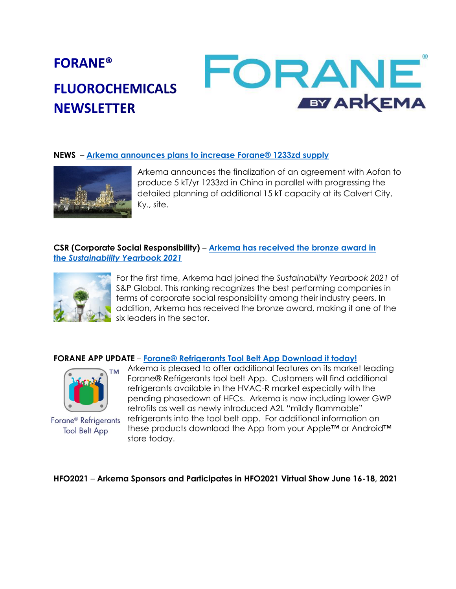# FORANE **FORANE® FLUOROCHEMICALS EY ARKEMA NEWSLETTER**

#### **NEWS** – **[Arkema announces plans to increase Forane® 1233zd supply](https://www.forane.com/en/news/news/Arkema-announces-plans-to-develop-supply-of-fluorinated-specialty-solution-1233zd/)**



Arkema announces the finalization of an agreement with Aofan to produce 5 kT/yr 1233zd in China in parallel with progressing the detailed planning of additional 15 kT capacity at its Calvert City, Ky., site.

### **CSR (Corporate Social Responsibility)** – **[Arkema has received](https://www.arkema.com/global/en/media/newslist/news/global/csr/2021/20210222-arkema-bronze-award-sustainability-yearbook-2021/) the bronze award in the** *[Sustainability Yearbook 2021](https://www.arkema.com/global/en/media/newslist/news/global/csr/2021/20210222-arkema-bronze-award-sustainability-yearbook-2021/)*



For the first time, Arkema had joined the *Sustainability Yearbook 2021* of S&P Global. This ranking recognizes the best performing companies in terms of corporate social responsibility among their industry peers. In addition, Arkema has received the bronze award, making it one of the six leaders in the sector.

#### **FORANE APP UPDATE** – **Forane® [Refrigerants Tool Belt App Download it today!](https://www.forane.com/en/forane-refrigerants/forane-tech-center/forane-pt-app/)**



Forane<sup>®</sup> Refrigerants **Tool Belt App** 

Arkema is pleased to offer additional features on its market leading Forane® Refrigerants tool belt App. Customers will find additional refrigerants available in the HVAC-R market especially with the pending phasedown of HFCs. Arkema is now including lower GWP retrofits as well as newly introduced A2L "mildly flammable" refrigerants into the tool belt app. For additional information on these products download the App from your Apple™ or Android™ store today.

#### **HFO2021** – **Arkema Sponsors and Participates in HFO2021 Virtual Show June 16-18, 2021**